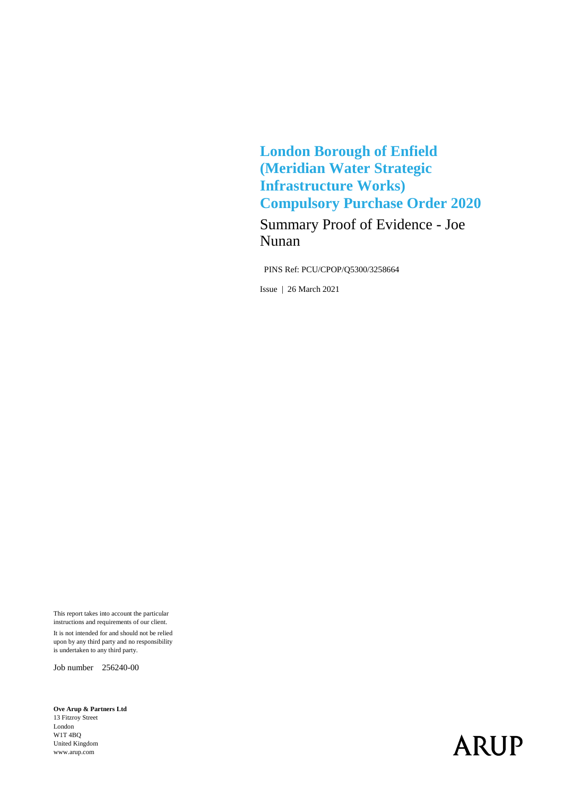**London Borough of Enfield (Meridian Water Strategic Infrastructure Works) Compulsory Purchase Order 2020**

Summary Proof of Evidence - Joe Nunan

PINS Ref: PCU/CPOP/Q5300/3258664

Issue | 26 March 2021

This report takes into account the particular instructions and requirements of our client. It is not intended for and should not be relied upon by any third party and no responsibility is undertaken to any third party.

Job number 256240-00

**Ove Arup & Partners Ltd** 13 Fitzroy Street London W1T 4BQ United Kingdom www.arup.com

## **ARUP**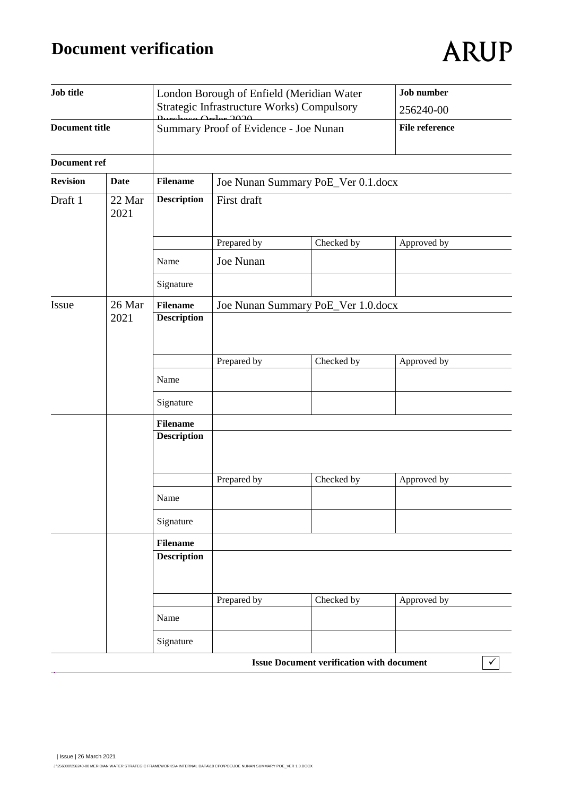## **Document verification**

# **ARUP**

| <b>Job title</b><br><b>Document title</b> |                | London Borough of Enfield (Meridian Water<br>Strategic Infrastructure Works) Compulsory<br>2022<br>Summary Proof of Evidence - Joe Nunan |                                    |                                                  | <b>Job</b> number<br>256240-00<br><b>File reference</b> |  |                     |
|-------------------------------------------|----------------|------------------------------------------------------------------------------------------------------------------------------------------|------------------------------------|--------------------------------------------------|---------------------------------------------------------|--|---------------------|
|                                           |                |                                                                                                                                          |                                    |                                                  |                                                         |  | <b>Document ref</b> |
| <b>Revision</b>                           | <b>Date</b>    | <b>Filename</b>                                                                                                                          | Joe Nunan Summary PoE_Ver 0.1.docx |                                                  |                                                         |  |                     |
| Draft 1                                   | 22 Mar<br>2021 | <b>Description</b>                                                                                                                       | First draft                        |                                                  |                                                         |  |                     |
|                                           |                |                                                                                                                                          | Prepared by                        | Checked by                                       | Approved by                                             |  |                     |
|                                           |                | Name                                                                                                                                     | Joe Nunan                          |                                                  |                                                         |  |                     |
|                                           |                | Signature                                                                                                                                |                                    |                                                  |                                                         |  |                     |
| Issue                                     | 26 Mar<br>2021 | <b>Filename</b><br><b>Description</b>                                                                                                    |                                    | Joe Nunan Summary PoE_Ver 1.0.docx               |                                                         |  |                     |
|                                           |                |                                                                                                                                          | Prepared by                        | Checked by                                       | Approved by                                             |  |                     |
|                                           |                | Name                                                                                                                                     |                                    |                                                  |                                                         |  |                     |
|                                           |                | Signature                                                                                                                                |                                    |                                                  |                                                         |  |                     |
|                                           |                | <b>Filename</b>                                                                                                                          |                                    |                                                  |                                                         |  |                     |
|                                           |                | <b>Description</b>                                                                                                                       |                                    |                                                  |                                                         |  |                     |
|                                           |                |                                                                                                                                          | Prepared by                        | Checked by                                       | Approved by                                             |  |                     |
|                                           |                | Name                                                                                                                                     |                                    |                                                  |                                                         |  |                     |
|                                           |                | Signature                                                                                                                                |                                    |                                                  |                                                         |  |                     |
|                                           |                | <b>Filename</b>                                                                                                                          |                                    |                                                  |                                                         |  |                     |
|                                           |                | <b>Description</b>                                                                                                                       |                                    |                                                  |                                                         |  |                     |
|                                           |                |                                                                                                                                          | Prepared by                        | Checked by                                       | Approved by                                             |  |                     |
|                                           |                | Name                                                                                                                                     |                                    |                                                  |                                                         |  |                     |
|                                           |                | Signature                                                                                                                                |                                    |                                                  |                                                         |  |                     |
|                                           |                |                                                                                                                                          |                                    | <b>Issue Document verification with document</b> | $\checkmark$                                            |  |                     |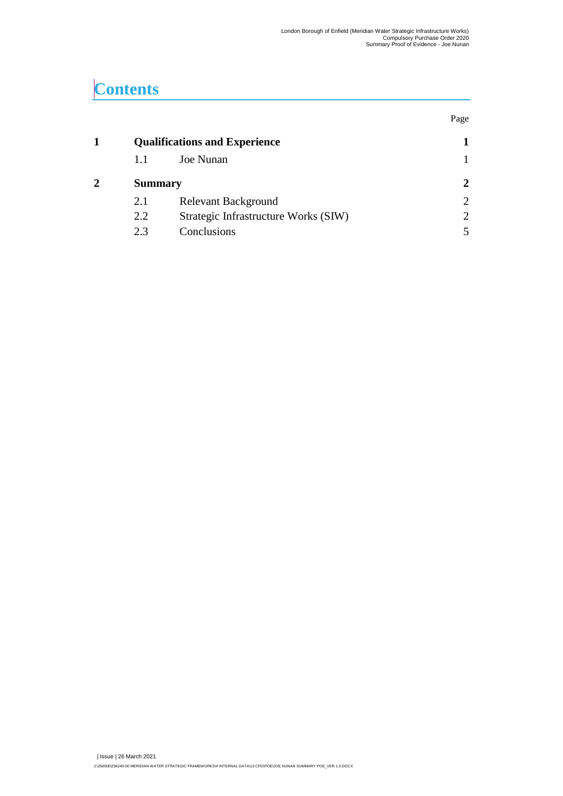## **Contents**

|                                      |                                      | Page           |  |
|--------------------------------------|--------------------------------------|----------------|--|
| <b>Qualifications and Experience</b> |                                      |                |  |
| 1.1                                  | Joe Nunan                            |                |  |
|                                      | <b>Summary</b>                       |                |  |
| 2.1                                  | Relevant Background                  | $\overline{2}$ |  |
| 2.2                                  | Strategic Infrastructure Works (SIW) | $\overline{2}$ |  |
| 2.3                                  | Conclusions                          |                |  |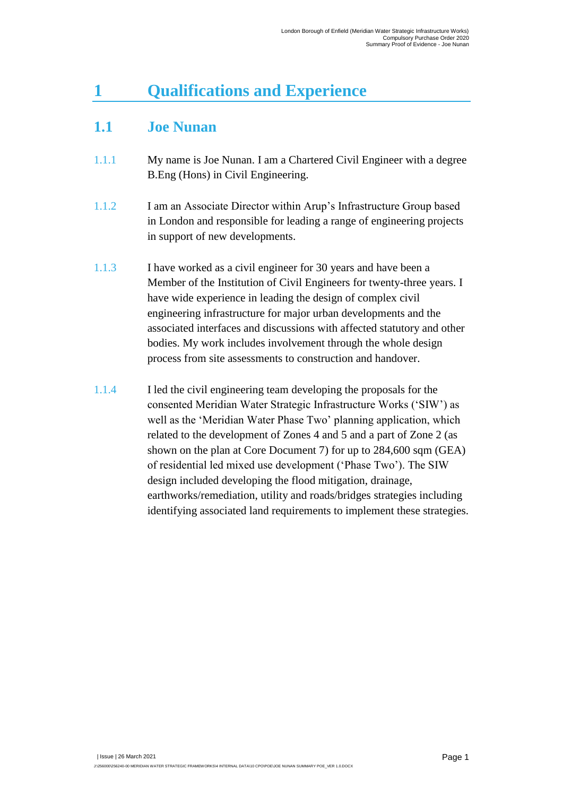### <span id="page-3-0"></span>**1 Qualifications and Experience**

#### <span id="page-3-1"></span>**1.1 Joe Nunan**

- 1.1.1 My name is Joe Nunan. I am a Chartered Civil Engineer with a degree B.Eng (Hons) in Civil Engineering.
- 1.1.2 I am an Associate Director within Arup's Infrastructure Group based in London and responsible for leading a range of engineering projects in support of new developments.
- 1.1.3 I have worked as a civil engineer for 30 years and have been a Member of the Institution of Civil Engineers for twenty-three years. I have wide experience in leading the design of complex civil engineering infrastructure for major urban developments and the associated interfaces and discussions with affected statutory and other bodies. My work includes involvement through the whole design process from site assessments to construction and handover.
- 1.1.4 I led the civil engineering team developing the proposals for the consented Meridian Water Strategic Infrastructure Works ('SIW') as well as the 'Meridian Water Phase Two' planning application, which related to the development of Zones 4 and 5 and a part of Zone 2 (as shown on the plan at Core Document 7) for up to 284,600 sqm (GEA) of residential led mixed use development ('Phase Two'). The SIW design included developing the flood mitigation, drainage, earthworks/remediation, utility and roads/bridges strategies including identifying associated land requirements to implement these strategies.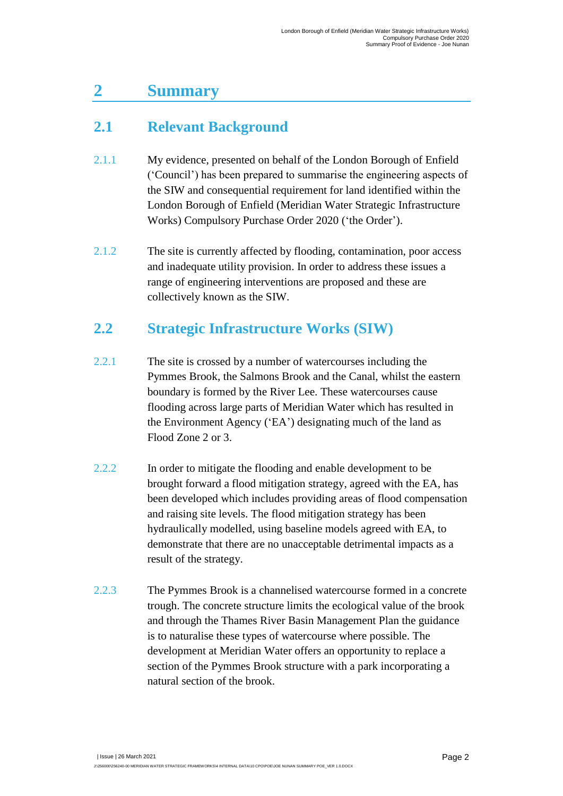#### <span id="page-4-0"></span>**2 Summary**

#### <span id="page-4-1"></span>**2.1 Relevant Background**

- 2.1.1 My evidence, presented on behalf of the London Borough of Enfield ('Council') has been prepared to summarise the engineering aspects of the SIW and consequential requirement for land identified within the London Borough of Enfield (Meridian Water Strategic Infrastructure Works) Compulsory Purchase Order 2020 ('the Order').
- 2.1.2 The site is currently affected by flooding, contamination, poor access and inadequate utility provision. In order to address these issues a range of engineering interventions are proposed and these are collectively known as the SIW.

#### <span id="page-4-2"></span>**2.2 Strategic Infrastructure Works (SIW)**

- 2.2.1 The site is crossed by a number of watercourses including the Pymmes Brook, the Salmons Brook and the Canal, whilst the eastern boundary is formed by the River Lee. These watercourses cause flooding across large parts of Meridian Water which has resulted in the Environment Agency ('EA') designating much of the land as Flood Zone 2 or 3.
- 2.2.2 In order to mitigate the flooding and enable development to be brought forward a flood mitigation strategy, agreed with the EA, has been developed which includes providing areas of flood compensation and raising site levels. The flood mitigation strategy has been hydraulically modelled, using baseline models agreed with EA, to demonstrate that there are no unacceptable detrimental impacts as a result of the strategy.
- 2.2.3 The Pymmes Brook is a channelised watercourse formed in a concrete trough. The concrete structure limits the ecological value of the brook and through the Thames River Basin Management Plan the guidance is to naturalise these types of watercourse where possible. The development at Meridian Water offers an opportunity to replace a section of the Pymmes Brook structure with a park incorporating a natural section of the brook.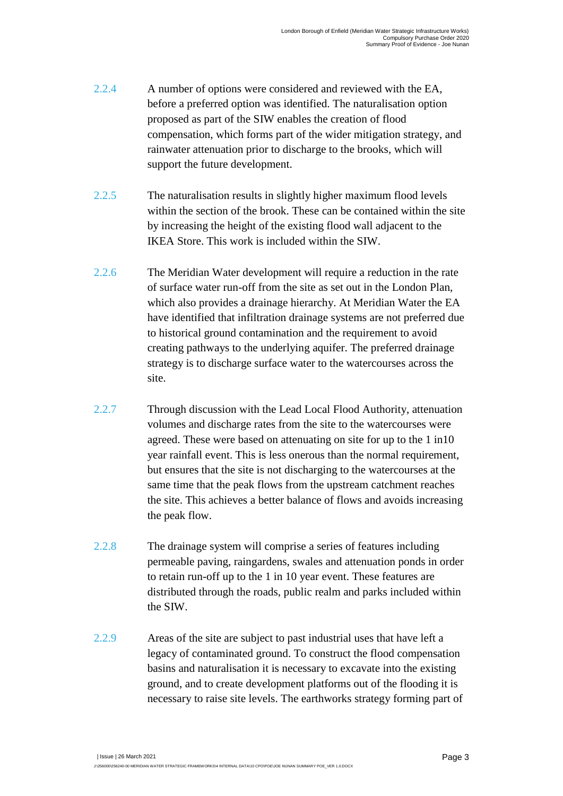- 2.2.4 A number of options were considered and reviewed with the EA, before a preferred option was identified. The naturalisation option proposed as part of the SIW enables the creation of flood compensation, which forms part of the wider mitigation strategy, and rainwater attenuation prior to discharge to the brooks, which will support the future development.
- 2.2.5 The naturalisation results in slightly higher maximum flood levels within the section of the brook. These can be contained within the site by increasing the height of the existing flood wall adjacent to the IKEA Store. This work is included within the SIW.
- 2.2.6 The Meridian Water development will require a reduction in the rate of surface water run-off from the site as set out in the London Plan, which also provides a drainage hierarchy. At Meridian Water the EA have identified that infiltration drainage systems are not preferred due to historical ground contamination and the requirement to avoid creating pathways to the underlying aquifer. The preferred drainage strategy is to discharge surface water to the watercourses across the site.
- 2.2.7 Through discussion with the Lead Local Flood Authority, attenuation volumes and discharge rates from the site to the watercourses were agreed. These were based on attenuating on site for up to the 1 in10 year rainfall event. This is less onerous than the normal requirement, but ensures that the site is not discharging to the watercourses at the same time that the peak flows from the upstream catchment reaches the site. This achieves a better balance of flows and avoids increasing the peak flow.
- 2.2.8 The drainage system will comprise a series of features including permeable paving, raingardens, swales and attenuation ponds in order to retain run-off up to the 1 in 10 year event. These features are distributed through the roads, public realm and parks included within the SIW.
- 2.2.9 Areas of the site are subject to past industrial uses that have left a legacy of contaminated ground. To construct the flood compensation basins and naturalisation it is necessary to excavate into the existing ground, and to create development platforms out of the flooding it is necessary to raise site levels. The earthworks strategy forming part of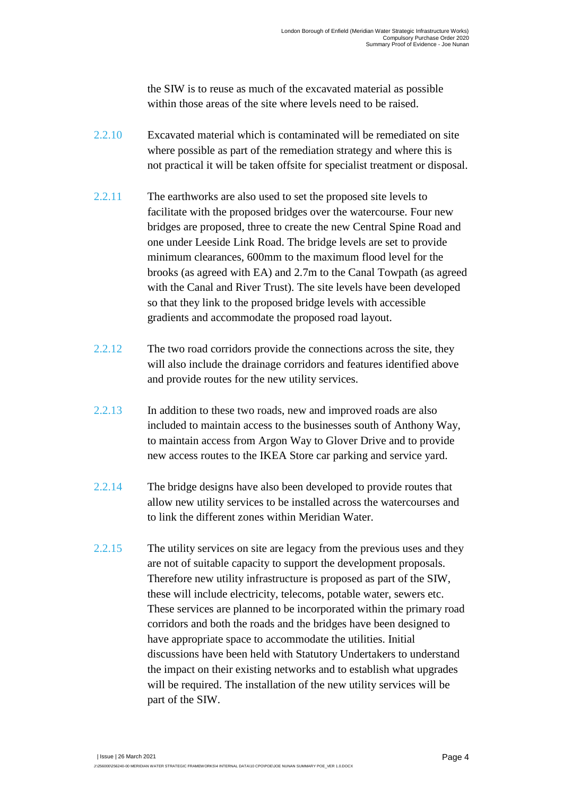the SIW is to reuse as much of the excavated material as possible within those areas of the site where levels need to be raised.

- 2.2.10 Excavated material which is contaminated will be remediated on site where possible as part of the remediation strategy and where this is not practical it will be taken offsite for specialist treatment or disposal.
- 2.2.11 The earthworks are also used to set the proposed site levels to facilitate with the proposed bridges over the watercourse. Four new bridges are proposed, three to create the new Central Spine Road and one under Leeside Link Road. The bridge levels are set to provide minimum clearances, 600mm to the maximum flood level for the brooks (as agreed with EA) and 2.7m to the Canal Towpath (as agreed with the Canal and River Trust). The site levels have been developed so that they link to the proposed bridge levels with accessible gradients and accommodate the proposed road layout.
- 2.2.12 The two road corridors provide the connections across the site, they will also include the drainage corridors and features identified above and provide routes for the new utility services.
- 2.2.13 In addition to these two roads, new and improved roads are also included to maintain access to the businesses south of Anthony Way, to maintain access from Argon Way to Glover Drive and to provide new access routes to the IKEA Store car parking and service yard.
- 2.2.14 The bridge designs have also been developed to provide routes that allow new utility services to be installed across the watercourses and to link the different zones within Meridian Water.
- 2.2.15 The utility services on site are legacy from the previous uses and they are not of suitable capacity to support the development proposals. Therefore new utility infrastructure is proposed as part of the SIW, these will include electricity, telecoms, potable water, sewers etc. These services are planned to be incorporated within the primary road corridors and both the roads and the bridges have been designed to have appropriate space to accommodate the utilities. Initial discussions have been held with Statutory Undertakers to understand the impact on their existing networks and to establish what upgrades will be required. The installation of the new utility services will be part of the SIW.